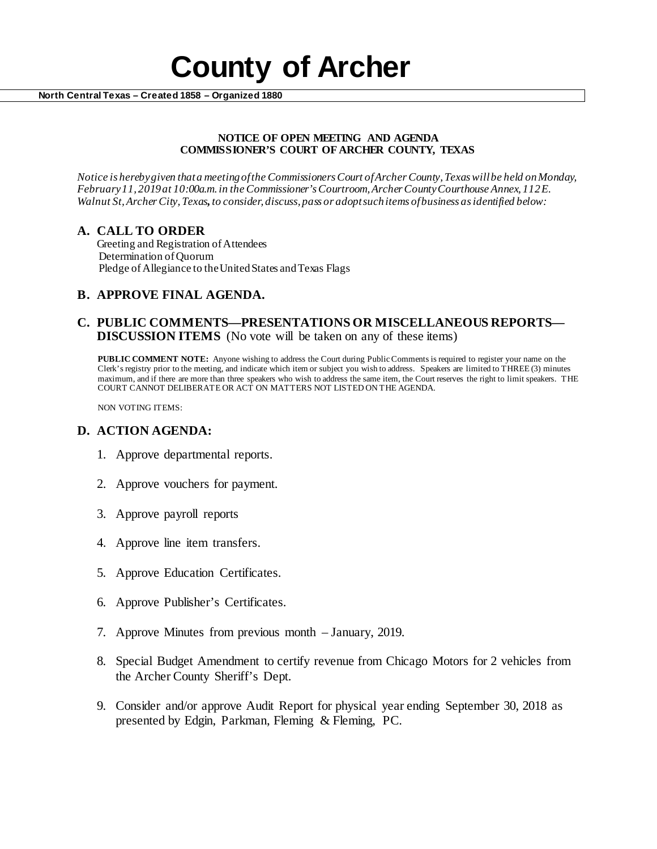# **County of Archer North Central Texas – Created 1858 – Organized 1880**

#### **NOTICE OF OPEN MEETING AND AGENDA COMMISSIONER'S COURT OF ARCHER COUNTY, TEXAS**

*Notice is hereby given that a meeting of the Commissioners Court of Archer County, Texas will be held onMonday, February 11, 2019at 10:00a.m. in the Commissioner's Courtroom, Archer County Courthouse Annex, 112 E. Walnut St, Archer City, Texas, to consider, discuss, pass or adopt such items of business as identified below:*

## **A. CALL TO ORDER**

 Greeting and Registration of Attendees Determination of Quorum Pledge of Allegiance to the United States and Texas Flags

## **B. APPROVE FINAL AGENDA.**

## **C. PUBLIC COMMENTS—PRESENTATIONS OR MISCELLANEOUS REPORTS— DISCUSSION ITEMS** (No vote will be taken on any of these items)

**PUBLIC COMMENT NOTE:** Anyone wishing to address the Court during Public Comments is required to register your name on the Clerk's registry prior to the meeting, and indicate which item or subject you wish to address. Speakers are limited to THREE (3) minutes maximum, and if there are more than three speakers who wish to address the same item, the Court reserves the right to limit speakers. THE COURT CANNOT DELIBERATE OR ACT ON MATTERS NOT LISTED ON THE AGENDA.

NON VOTING ITEMS:

### **D. ACTION AGENDA:**

- 1. Approve departmental reports.
- 2. Approve vouchers for payment.
- 3. Approve payroll reports
- 4. Approve line item transfers.
- 5. Approve Education Certificates.
- 6. Approve Publisher's Certificates.
- 7. Approve Minutes from previous month January, 2019.
- 8. Special Budget Amendment to certify revenue from Chicago Motors for 2 vehicles from the Archer County Sheriff's Dept.
- 9. Consider and/or approve Audit Report for physical year ending September 30, 2018 as presented by Edgin, Parkman, Fleming & Fleming, PC.